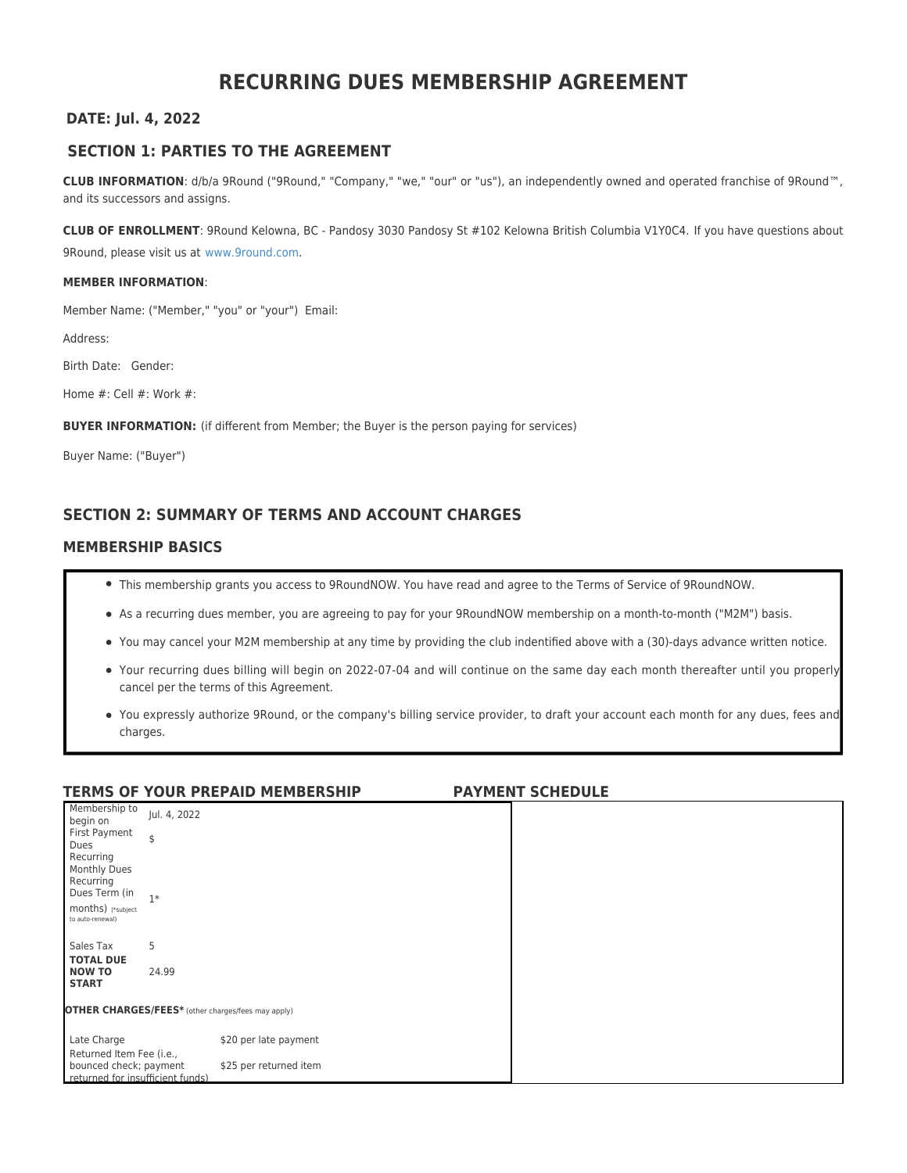# **RECURRING DUES MEMBERSHIP AGREEMENT**

#### **DATE: Jul. 4, 2022**

### **SECTION 1: PARTIES TO THE AGREEMENT**

**CLUB INFORMATION**: d/b/a 9Round ("9Round," "Company," "we," "our" or "us"), an independently owned and operated franchise of 9Round™, and its successors and assigns.

**CLUB OF ENROLLMENT**: 9Round Kelowna, BC - Pandosy 3030 Pandosy St #102 Kelowna British Columbia V1Y0C4. If you have questions about 9Round, please visit us at [www.9round.com.](http://www.9round.com)

#### **MEMBER INFORMATION**:

Member Name: ("Member," "you" or "your") Email:

Address:

Birth Date: Gender:

Home #: Cell #: Work #:

**BUYER INFORMATION:** (if different from Member; the Buyer is the person paying for services)

Buyer Name: ("Buyer")

# **SECTION 2: SUMMARY OF TERMS AND ACCOUNT CHARGES**

#### **MEMBERSHIP BASICS**

- This membership grants you access to 9RoundNOW. You have read and agree to the Terms of Service of 9RoundNOW.
- As a recurring dues member, you are agreeing to pay for your 9RoundNOW membership on a month-to-month ("M2M") basis.
- You may cancel your M2M membership at any time by providing the club indentified above with a (30)-days advance written notice.
- Your recurring dues billing will begin on 2022-07-04 and will continue on the same day each month thereafter until you properly cancel per the terms of this Agreement.
- You expressly authorize 9Round, or the company's billing service provider, to draft your account each month for any dues, fees and charges.

#### **TERMS OF YOUR PREPAID MEMBERSHIP PAYMENT SCHEDULE** Membership to Membership to Jul. 4, 2022<br>begin on First Payment Dues \$ Recurring Monthly Dues Recurring Dues Term (in months) (\*subject to auto-renewal) 1\* Sales Tax 5 **TOTAL DUE NOW TO START** 24.99 **OTHER CHARGES/FEES\*** (other charges/fees may apply) Late Charge  $$20$  per late payment Returned Item Fee (i.e., bounced check; payment returned for insufficient funds) \$25 per returned item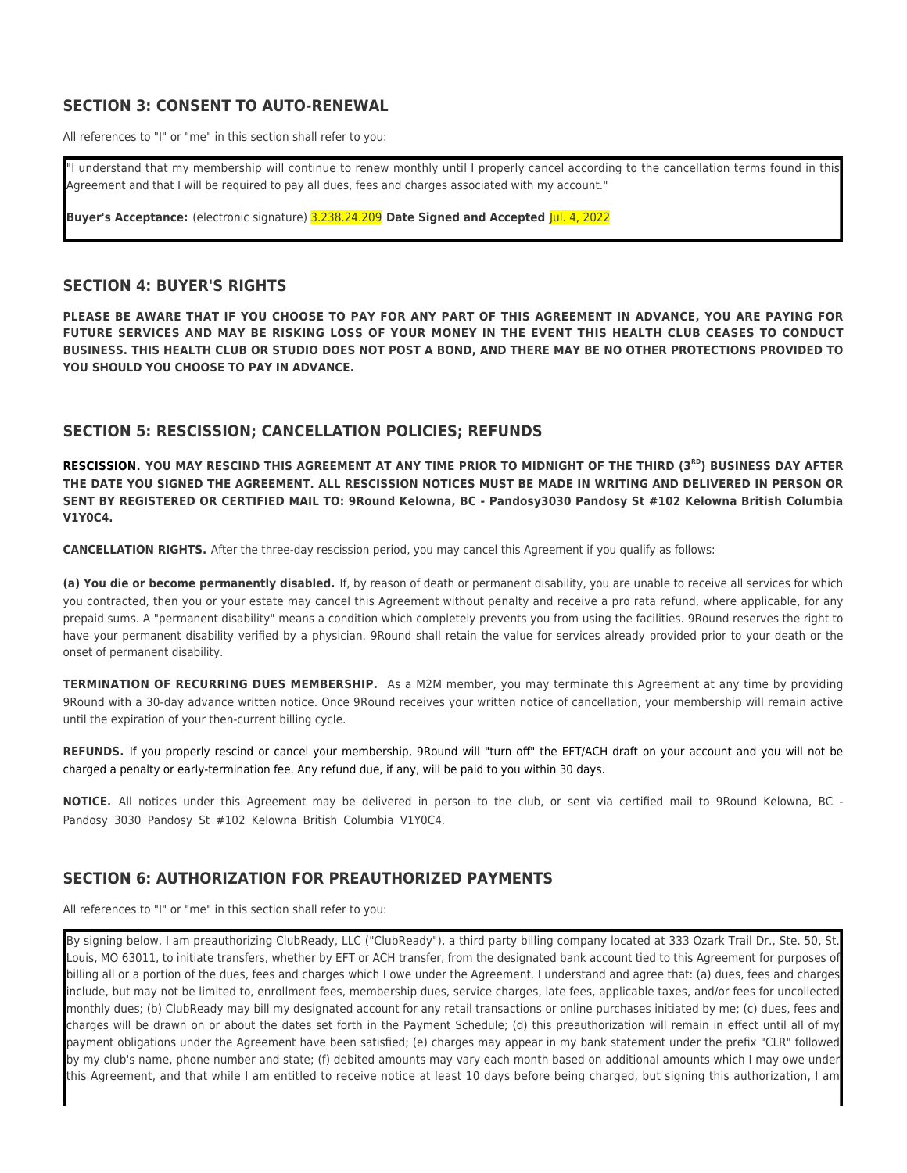### **SECTION 3: CONSENT TO AUTO-RENEWAL**

All references to "I" or "me" in this section shall refer to you:

"I understand that my membership will continue to renew monthly until I properly cancel according to the cancellation terms found in this Agreement and that I will be required to pay all dues, fees and charges associated with my account."

**Buyer's Acceptance:** (electronic signature) 3.238.24.209 **Date Signed and Accepted** Jul. 4, 2022

#### **SECTION 4: BUYER'S RIGHTS**

**PLEASE BE AWARE THAT IF YOU CHOOSE TO PAY FOR ANY PART OF THIS AGREEMENT IN ADVANCE, YOU ARE PAYING FOR FUTURE SERVICES AND MAY BE RISKING LOSS OF YOUR MONEY IN THE EVENT THIS HEALTH CLUB CEASES TO CONDUCT BUSINESS. THIS HEALTH CLUB OR STUDIO DOES NOT POST A BOND, AND THERE MAY BE NO OTHER PROTECTIONS PROVIDED TO YOU SHOULD YOU CHOOSE TO PAY IN ADVANCE.**

### **SECTION 5: RESCISSION; CANCELLATION POLICIES; REFUNDS**

RESCISSION. YOU MAY RESCIND THIS AGREEMENT AT ANY TIME PRIOR TO MIDNIGHT OF THE THIRD (3<sup>RD</sup>) BUSINESS DAY AFTER **THE DATE YOU SIGNED THE AGREEMENT. ALL RESCISSION NOTICES MUST BE MADE IN WRITING AND DELIVERED IN PERSON OR SENT BY REGISTERED OR CERTIFIED MAIL TO: 9Round Kelowna, BC - Pandosy3030 Pandosy St #102 Kelowna British Columbia V1Y0C4.**

**CANCELLATION RIGHTS.** After the three-day rescission period, you may cancel this Agreement if you qualify as follows:

**(a) You die or become permanently disabled.** If, by reason of death or permanent disability, you are unable to receive all services for which you contracted, then you or your estate may cancel this Agreement without penalty and receive a pro rata refund, where applicable, for any prepaid sums. A "permanent disability" means a condition which completely prevents you from using the facilities. 9Round reserves the right to have your permanent disability verified by a physician. 9Round shall retain the value for services already provided prior to your death or the onset of permanent disability.

**TERMINATION OF RECURRING DUES MEMBERSHIP.** As a M2M member, you may terminate this Agreement at any time by providing 9Round with a 30-day advance written notice. Once 9Round receives your written notice of cancellation, your membership will remain active until the expiration of your then-current billing cycle.

**REFUNDS.** If you properly rescind or cancel your membership, 9Round will "turn off" the EFT/ACH draft on your account and you will not be charged a penalty or early-termination fee. Any refund due, if any, will be paid to you within 30 days.

**NOTICE.** All notices under this Agreement may be delivered in person to the club, or sent via certified mail to 9Round Kelowna, BC - Pandosy 3030 Pandosy St #102 Kelowna British Columbia V1Y0C4.

### **SECTION 6: AUTHORIZATION FOR PREAUTHORIZED PAYMENTS**

All references to "I" or "me" in this section shall refer to you:

By signing below, I am preauthorizing ClubReady, LLC ("ClubReady"), a third party billing company located at 333 Ozark Trail Dr., Ste. 50, St. Louis, MO 63011, to initiate transfers, whether by EFT or ACH transfer, from the designated bank account tied to this Agreement for purposes of billing all or a portion of the dues, fees and charges which I owe under the Agreement. I understand and agree that: (a) dues, fees and charges include, but may not be limited to, enrollment fees, membership dues, service charges, late fees, applicable taxes, and/or fees for uncollected monthly dues; (b) ClubReady may bill my designated account for any retail transactions or online purchases initiated by me; (c) dues, fees and charges will be drawn on or about the dates set forth in the Payment Schedule; (d) this preauthorization will remain in effect until all of my payment obligations under the Agreement have been satisfied; (e) charges may appear in my bank statement under the prefix "CLR" followed by my club's name, phone number and state; (f) debited amounts may vary each month based on additional amounts which I may owe under this Agreement, and that while I am entitled to receive notice at least 10 days before being charged, but signing this authorization, I am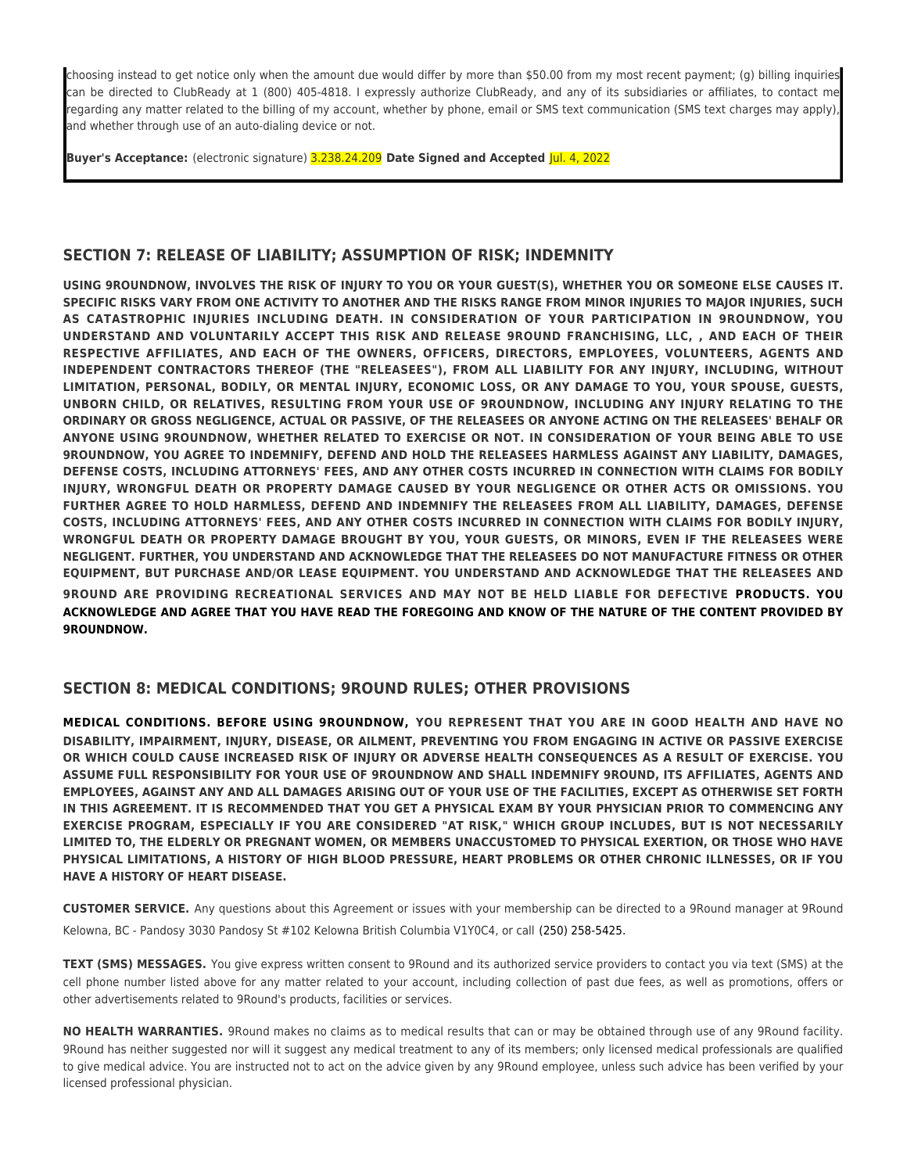choosing instead to get notice only when the amount due would differ by more than \$50.00 from my most recent payment; (g) billing inquiries can be directed to ClubReady at 1 (800) 405-4818. I expressly authorize ClubReady, and any of its subsidiaries or affiliates, to contact me regarding any matter related to the billing of my account, whether by phone, email or SMS text communication (SMS text charges may apply), and whether through use of an auto-dialing device or not.

**Buyer's Acceptance:** (electronic signature) 3.238.24.209 **Date Signed and Accepted** Jul. 4, 2022

### **SECTION 7: RELEASE OF LIABILITY; ASSUMPTION OF RISK; INDEMNITY**

**USING 9ROUNDNOW, INVOLVES THE RISK OF INJURY TO YOU OR YOUR GUEST(S), WHETHER YOU OR SOMEONE ELSE CAUSES IT. SPECIFIC RISKS VARY FROM ONE ACTIVITY TO ANOTHER AND THE RISKS RANGE FROM MINOR INJURIES TO MAJOR INJURIES, SUCH AS CATASTROPHIC INJURIES INCLUDING DEATH. IN CONSIDERATION OF YOUR PARTICIPATION IN 9ROUNDNOW, YOU UNDERSTAND AND VOLUNTARILY ACCEPT THIS RISK AND RELEASE 9ROUND FRANCHISING, LLC, , AND EACH OF THEIR RESPECTIVE AFFILIATES, AND EACH OF THE OWNERS, OFFICERS, DIRECTORS, EMPLOYEES, VOLUNTEERS, AGENTS AND INDEPENDENT CONTRACTORS THEREOF (THE "RELEASEES"), FROM ALL LIABILITY FOR ANY INJURY, INCLUDING, WITHOUT LIMITATION, PERSONAL, BODILY, OR MENTAL INJURY, ECONOMIC LOSS, OR ANY DAMAGE TO YOU, YOUR SPOUSE, GUESTS, UNBORN CHILD, OR RELATIVES, RESULTING FROM YOUR USE OF 9ROUNDNOW, INCLUDING ANY INJURY RELATING TO THE ORDINARY OR GROSS NEGLIGENCE, ACTUAL OR PASSIVE, OF THE RELEASEES OR ANYONE ACTING ON THE RELEASEES' BEHALF OR ANYONE USING 9ROUNDNOW, WHETHER RELATED TO EXERCISE OR NOT. IN CONSIDERATION OF YOUR BEING ABLE TO USE 9ROUNDNOW, YOU AGREE TO INDEMNIFY, DEFEND AND HOLD THE RELEASEES HARMLESS AGAINST ANY LIABILITY, DAMAGES, DEFENSE COSTS, INCLUDING ATTORNEYS' FEES, AND ANY OTHER COSTS INCURRED IN CONNECTION WITH CLAIMS FOR BODILY INJURY, WRONGFUL DEATH OR PROPERTY DAMAGE CAUSED BY YOUR NEGLIGENCE OR OTHER ACTS OR OMISSIONS. YOU FURTHER AGREE TO HOLD HARMLESS, DEFEND AND INDEMNIFY THE RELEASEES FROM ALL LIABILITY, DAMAGES, DEFENSE COSTS, INCLUDING ATTORNEYS' FEES, AND ANY OTHER COSTS INCURRED IN CONNECTION WITH CLAIMS FOR BODILY INJURY, WRONGFUL DEATH OR PROPERTY DAMAGE BROUGHT BY YOU, YOUR GUESTS, OR MINORS, EVEN IF THE RELEASEES WERE NEGLIGENT. FURTHER, YOU UNDERSTAND AND ACKNOWLEDGE THAT THE RELEASEES DO NOT MANUFACTURE FITNESS OR OTHER EQUIPMENT, BUT PURCHASE AND/OR LEASE EQUIPMENT. YOU UNDERSTAND AND ACKNOWLEDGE THAT THE RELEASEES AND 9ROUND ARE PROVIDING RECREATIONAL SERVICES AND MAY NOT BE HELD LIABLE FOR DEFECTIVE PRODUCTS. YOU ACKNOWLEDGE AND AGREE THAT YOU HAVE READ THE FOREGOING AND KNOW OF THE NATURE OF THE CONTENT PROVIDED BY 9ROUNDNOW.**

#### **SECTION 8: MEDICAL CONDITIONS; 9ROUND RULES; OTHER PROVISIONS**

**MEDICAL CONDITIONS. BEFORE USING 9ROUNDNOW, YOU REPRESENT THAT YOU ARE IN GOOD HEALTH AND HAVE NO DISABILITY, IMPAIRMENT, INJURY, DISEASE, OR AILMENT, PREVENTING YOU FROM ENGAGING IN ACTIVE OR PASSIVE EXERCISE OR WHICH COULD CAUSE INCREASED RISK OF INJURY OR ADVERSE HEALTH CONSEQUENCES AS A RESULT OF EXERCISE. YOU ASSUME FULL RESPONSIBILITY FOR YOUR USE OF 9ROUNDNOW AND SHALL INDEMNIFY 9ROUND, ITS AFFILIATES, AGENTS AND EMPLOYEES, AGAINST ANY AND ALL DAMAGES ARISING OUT OF YOUR USE OF THE FACILITIES, EXCEPT AS OTHERWISE SET FORTH IN THIS AGREEMENT. IT IS RECOMMENDED THAT YOU GET A PHYSICAL EXAM BY YOUR PHYSICIAN PRIOR TO COMMENCING ANY EXERCISE PROGRAM, ESPECIALLY IF YOU ARE CONSIDERED "AT RISK," WHICH GROUP INCLUDES, BUT IS NOT NECESSARILY LIMITED TO, THE ELDERLY OR PREGNANT WOMEN, OR MEMBERS UNACCUSTOMED TO PHYSICAL EXERTION, OR THOSE WHO HAVE PHYSICAL LIMITATIONS, A HISTORY OF HIGH BLOOD PRESSURE, HEART PROBLEMS OR OTHER CHRONIC ILLNESSES, OR IF YOU HAVE A HISTORY OF HEART DISEASE.**

**CUSTOMER SERVICE.** Any questions about this Agreement or issues with your membership can be directed to a 9Round manager at 9Round Kelowna, BC - Pandosy 3030 Pandosy St #102 Kelowna British Columbia V1Y0C4, or call (250) 258-5425.

**TEXT (SMS) MESSAGES.** You give express written consent to 9Round and its authorized service providers to contact you via text (SMS) at the cell phone number listed above for any matter related to your account, including collection of past due fees, as well as promotions, offers or other advertisements related to 9Round's products, facilities or services.

**NO HEALTH WARRANTIES.** 9Round makes no claims as to medical results that can or may be obtained through use of any 9Round facility. 9Round has neither suggested nor will it suggest any medical treatment to any of its members; only licensed medical professionals are qualified to give medical advice. You are instructed not to act on the advice given by any 9Round employee, unless such advice has been verified by your licensed professional physician.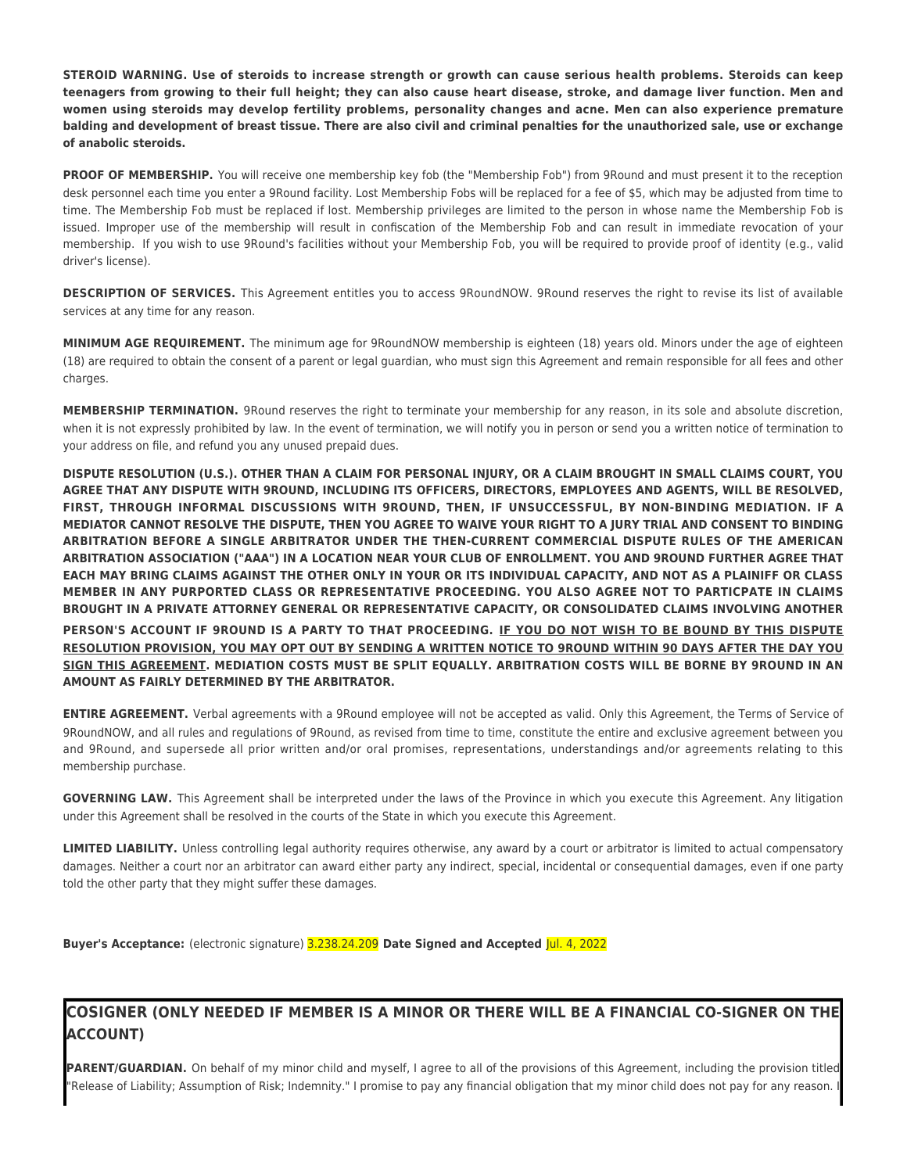**STEROID WARNING. Use of steroids to increase strength or growth can cause serious health problems. Steroids can keep teenagers from growing to their full height; they can also cause heart disease, stroke, and damage liver function. Men and women using steroids may develop fertility problems, personality changes and acne. Men can also experience premature balding and development of breast tissue. There are also civil and criminal penalties for the unauthorized sale, use or exchange of anabolic steroids.**

**PROOF OF MEMBERSHIP.** You will receive one membership key fob (the "Membership Fob") from 9Round and must present it to the reception desk personnel each time you enter a 9Round facility. Lost Membership Fobs will be replaced for a fee of \$5, which may be adjusted from time to time. The Membership Fob must be replaced if lost. Membership privileges are limited to the person in whose name the Membership Fob is issued. Improper use of the membership will result in confiscation of the Membership Fob and can result in immediate revocation of your membership. If you wish to use 9Round's facilities without your Membership Fob, you will be required to provide proof of identity (e.g., valid driver's license).

**DESCRIPTION OF SERVICES.** This Agreement entitles you to access 9RoundNOW. 9Round reserves the right to revise its list of available services at any time for any reason.

**MINIMUM AGE REQUIREMENT.** The minimum age for 9RoundNOW membership is eighteen (18) years old. Minors under the age of eighteen (18) are required to obtain the consent of a parent or legal guardian, who must sign this Agreement and remain responsible for all fees and other charges.

**MEMBERSHIP TERMINATION.** 9Round reserves the right to terminate your membership for any reason, in its sole and absolute discretion, when it is not expressly prohibited by law. In the event of termination, we will notify you in person or send you a written notice of termination to your address on file, and refund you any unused prepaid dues.

**DISPUTE RESOLUTION (U.S.). OTHER THAN A CLAIM FOR PERSONAL INJURY, OR A CLAIM BROUGHT IN SMALL CLAIMS COURT, YOU AGREE THAT ANY DISPUTE WITH 9ROUND, INCLUDING ITS OFFICERS, DIRECTORS, EMPLOYEES AND AGENTS, WILL BE RESOLVED, FIRST, THROUGH INFORMAL DISCUSSIONS WITH 9ROUND, THEN, IF UNSUCCESSFUL, BY NON-BINDING MEDIATION. IF A MEDIATOR CANNOT RESOLVE THE DISPUTE, THEN YOU AGREE TO WAIVE YOUR RIGHT TO A JURY TRIAL AND CONSENT TO BINDING ARBITRATION BEFORE A SINGLE ARBITRATOR UNDER THE THEN-CURRENT COMMERCIAL DISPUTE RULES OF THE AMERICAN ARBITRATION ASSOCIATION ("AAA") IN A LOCATION NEAR YOUR CLUB OF ENROLLMENT. YOU AND 9ROUND FURTHER AGREE THAT EACH MAY BRING CLAIMS AGAINST THE OTHER ONLY IN YOUR OR ITS INDIVIDUAL CAPACITY, AND NOT AS A PLAINIFF OR CLASS MEMBER IN ANY PURPORTED CLASS OR REPRESENTATIVE PROCEEDING. YOU ALSO AGREE NOT TO PARTICPATE IN CLAIMS BROUGHT IN A PRIVATE ATTORNEY GENERAL OR REPRESENTATIVE CAPACITY, OR CONSOLIDATED CLAIMS INVOLVING ANOTHER PERSON'S ACCOUNT IF 9ROUND IS A PARTY TO THAT PROCEEDING. IF YOU DO NOT WISH TO BE BOUND BY THIS DISPUTE RESOLUTION PROVISION, YOU MAY OPT OUT BY SENDING A WRITTEN NOTICE TO 9ROUND WITHIN 90 DAYS AFTER THE DAY YOU SIGN THIS AGREEMENT. MEDIATION COSTS MUST BE SPLIT EQUALLY. ARBITRATION COSTS WILL BE BORNE BY 9ROUND IN AN AMOUNT AS FAIRLY DETERMINED BY THE ARBITRATOR.**

**ENTIRE AGREEMENT.** Verbal agreements with a 9Round employee will not be accepted as valid. Only this Agreement, the Terms of Service of 9RoundNOW, and all rules and regulations of 9Round, as revised from time to time, constitute the entire and exclusive agreement between you and 9Round, and supersede all prior written and/or oral promises, representations, understandings and/or agreements relating to this membership purchase.

**GOVERNING LAW.** This Agreement shall be interpreted under the laws of the Province in which you execute this Agreement. Any litigation under this Agreement shall be resolved in the courts of the State in which you execute this Agreement.

**LIMITED LIABILITY.** Unless controlling legal authority requires otherwise, any award by a court or arbitrator is limited to actual compensatory damages. Neither a court nor an arbitrator can award either party any indirect, special, incidental or consequential damages, even if one party told the other party that they might suffer these damages.

**Buyer's Acceptance:** (electronic signature) 3.238.24.209 **Date Signed and Accepted** Jul. 4, 2022

# **COSIGNER (ONLY NEEDED IF MEMBER IS A MINOR OR THERE WILL BE A FINANCIAL CO-SIGNER ON THE ACCOUNT)**

PARENT/GUARDIAN. On behalf of my minor child and myself, I agree to all of the provisions of this Agreement, including the provision titled 'Release of Liability; Assumption of Risk; Indemnity." I promise to pay any financial obligation that my minor child does not pay for any reason.